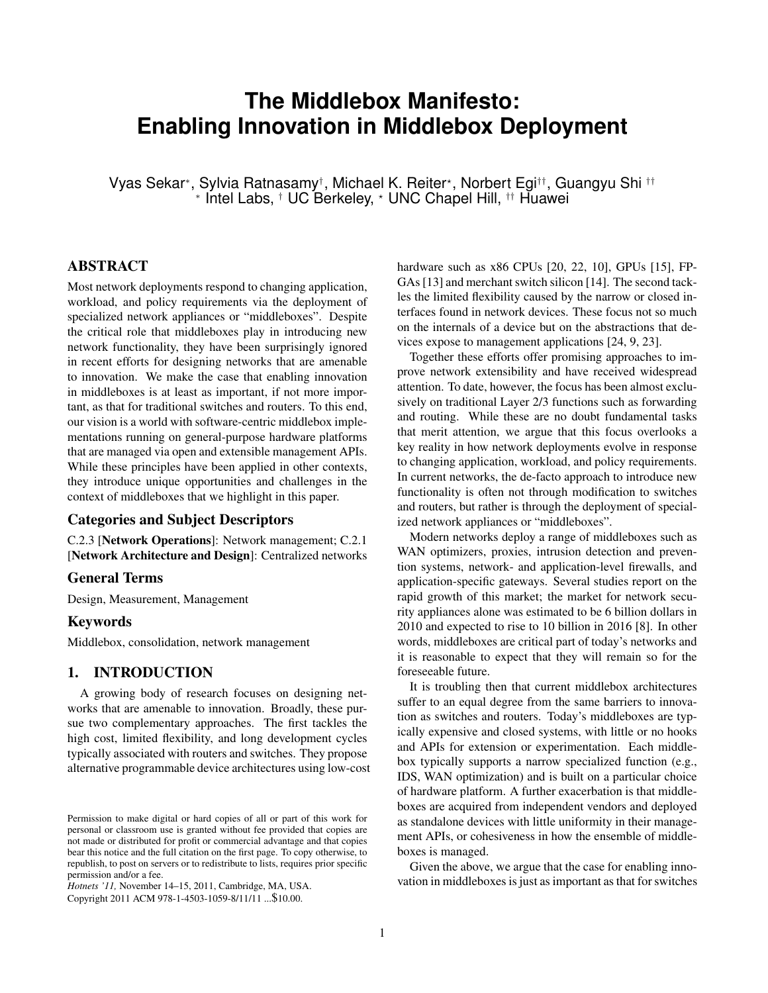# **The Middlebox Manifesto: Enabling Innovation in Middlebox Deployment**

Vyas Sekar\*, Sylvia Ratnasamy†, Michael K. Reiter\*, Norbert Egi††, Guangyu Shi †† ∗ Intel Labs, † UC Berkeley, ? UNC Chapel Hill, †† Huawei

## ABSTRACT

Most network deployments respond to changing application, workload, and policy requirements via the deployment of specialized network appliances or "middleboxes". Despite the critical role that middleboxes play in introducing new network functionality, they have been surprisingly ignored in recent efforts for designing networks that are amenable to innovation. We make the case that enabling innovation in middleboxes is at least as important, if not more important, as that for traditional switches and routers. To this end, our vision is a world with software-centric middlebox implementations running on general-purpose hardware platforms that are managed via open and extensible management APIs. While these principles have been applied in other contexts, they introduce unique opportunities and challenges in the context of middleboxes that we highlight in this paper.

## Categories and Subject Descriptors

C.2.3 [Network Operations]: Network management; C.2.1 [Network Architecture and Design]: Centralized networks

## General Terms

Design, Measurement, Management

#### Keywords

Middlebox, consolidation, network management

## 1. INTRODUCTION

A growing body of research focuses on designing networks that are amenable to innovation. Broadly, these pursue two complementary approaches. The first tackles the high cost, limited flexibility, and long development cycles typically associated with routers and switches. They propose alternative programmable device architectures using low-cost

Copyright 2011 ACM 978-1-4503-1059-8/11/11 ...\$10.00.

hardware such as x86 CPUs [20, 22, 10], GPUs [15], FP-GAs [13] and merchant switch silicon [14]. The second tackles the limited flexibility caused by the narrow or closed interfaces found in network devices. These focus not so much on the internals of a device but on the abstractions that devices expose to management applications [24, 9, 23].

Together these efforts offer promising approaches to improve network extensibility and have received widespread attention. To date, however, the focus has been almost exclusively on traditional Layer 2/3 functions such as forwarding and routing. While these are no doubt fundamental tasks that merit attention, we argue that this focus overlooks a key reality in how network deployments evolve in response to changing application, workload, and policy requirements. In current networks, the de-facto approach to introduce new functionality is often not through modification to switches and routers, but rather is through the deployment of specialized network appliances or "middleboxes".

Modern networks deploy a range of middleboxes such as WAN optimizers, proxies, intrusion detection and prevention systems, network- and application-level firewalls, and application-specific gateways. Several studies report on the rapid growth of this market; the market for network security appliances alone was estimated to be 6 billion dollars in 2010 and expected to rise to 10 billion in 2016 [8]. In other words, middleboxes are critical part of today's networks and it is reasonable to expect that they will remain so for the foreseeable future.

It is troubling then that current middlebox architectures suffer to an equal degree from the same barriers to innovation as switches and routers. Today's middleboxes are typically expensive and closed systems, with little or no hooks and APIs for extension or experimentation. Each middlebox typically supports a narrow specialized function (e.g., IDS, WAN optimization) and is built on a particular choice of hardware platform. A further exacerbation is that middleboxes are acquired from independent vendors and deployed as standalone devices with little uniformity in their management APIs, or cohesiveness in how the ensemble of middleboxes is managed.

Given the above, we argue that the case for enabling innovation in middleboxes is just as important as that for switches

Permission to make digital or hard copies of all or part of this work for personal or classroom use is granted without fee provided that copies are not made or distributed for profit or commercial advantage and that copies bear this notice and the full citation on the first page. To copy otherwise, to republish, to post on servers or to redistribute to lists, requires prior specific permission and/or a fee.

*Hotnets '11,* November 14–15, 2011, Cambridge, MA, USA.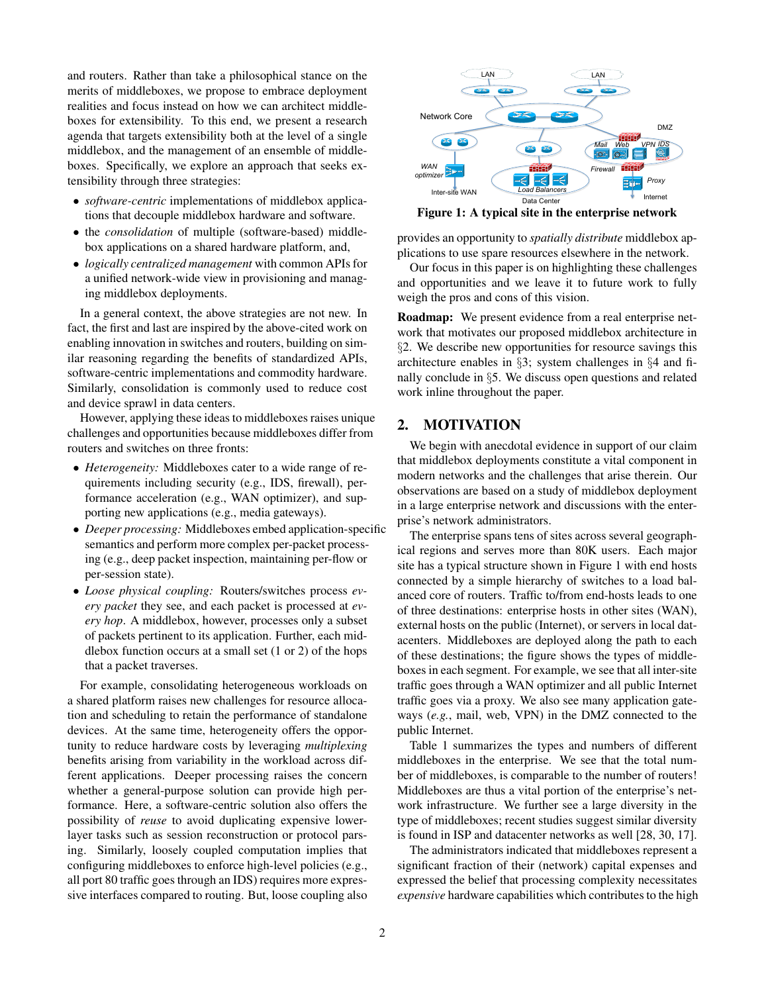and routers. Rather than take a philosophical stance on the merits of middleboxes, we propose to embrace deployment realities and focus instead on how we can architect middleboxes for extensibility. To this end, we present a research agenda that targets extensibility both at the level of a single middlebox, and the management of an ensemble of middleboxes. Specifically, we explore an approach that seeks extensibility through three strategies:

- *software-centric* implementations of middlebox applications that decouple middlebox hardware and software.
- the *consolidation* of multiple (software-based) middlebox applications on a shared hardware platform, and,
- *logically centralized management* with common APIs for a unified network-wide view in provisioning and managing middlebox deployments.

In a general context, the above strategies are not new. In fact, the first and last are inspired by the above-cited work on enabling innovation in switches and routers, building on similar reasoning regarding the benefits of standardized APIs, software-centric implementations and commodity hardware. Similarly, consolidation is commonly used to reduce cost and device sprawl in data centers.

However, applying these ideas to middleboxes raises unique challenges and opportunities because middleboxes differ from routers and switches on three fronts:

- *Heterogeneity:* Middleboxes cater to a wide range of requirements including security (e.g., IDS, firewall), performance acceleration (e.g., WAN optimizer), and supporting new applications (e.g., media gateways).
- *Deeper processing:* Middleboxes embed application-specific semantics and perform more complex per-packet processing (e.g., deep packet inspection, maintaining per-flow or per-session state).
- *Loose physical coupling:* Routers/switches process *every packet* they see, and each packet is processed at *every hop*. A middlebox, however, processes only a subset of packets pertinent to its application. Further, each middlebox function occurs at a small set (1 or 2) of the hops that a packet traverses.

For example, consolidating heterogeneous workloads on a shared platform raises new challenges for resource allocation and scheduling to retain the performance of standalone devices. At the same time, heterogeneity offers the opportunity to reduce hardware costs by leveraging *multiplexing* benefits arising from variability in the workload across different applications. Deeper processing raises the concern whether a general-purpose solution can provide high performance. Here, a software-centric solution also offers the possibility of *reuse* to avoid duplicating expensive lowerlayer tasks such as session reconstruction or protocol parsing. Similarly, loosely coupled computation implies that configuring middleboxes to enforce high-level policies (e.g., all port 80 traffic goes through an IDS) requires more expressive interfaces compared to routing. But, loose coupling also



Figure 1: A typical site in the enterprise network

provides an opportunity to *spatially distribute* middlebox applications to use spare resources elsewhere in the network.

Our focus in this paper is on highlighting these challenges and opportunities and we leave it to future work to fully weigh the pros and cons of this vision.

Roadmap: We present evidence from a real enterprise network that motivates our proposed middlebox architecture in §2. We describe new opportunities for resource savings this architecture enables in §3; system challenges in §4 and finally conclude in §5. We discuss open questions and related work inline throughout the paper.

## 2. MOTIVATION

We begin with anecdotal evidence in support of our claim that middlebox deployments constitute a vital component in modern networks and the challenges that arise therein. Our observations are based on a study of middlebox deployment in a large enterprise network and discussions with the enterprise's network administrators.

The enterprise spans tens of sites across several geographical regions and serves more than 80K users. Each major site has a typical structure shown in Figure 1 with end hosts connected by a simple hierarchy of switches to a load balanced core of routers. Traffic to/from end-hosts leads to one of three destinations: enterprise hosts in other sites (WAN), external hosts on the public (Internet), or servers in local datacenters. Middleboxes are deployed along the path to each of these destinations; the figure shows the types of middleboxes in each segment. For example, we see that all inter-site traffic goes through a WAN optimizer and all public Internet traffic goes via a proxy. We also see many application gateways (*e.g.*, mail, web, VPN) in the DMZ connected to the public Internet.

Table 1 summarizes the types and numbers of different middleboxes in the enterprise. We see that the total number of middleboxes, is comparable to the number of routers! Middleboxes are thus a vital portion of the enterprise's network infrastructure. We further see a large diversity in the type of middleboxes; recent studies suggest similar diversity is found in ISP and datacenter networks as well [28, 30, 17].

The administrators indicated that middleboxes represent a significant fraction of their (network) capital expenses and expressed the belief that processing complexity necessitates *expensive* hardware capabilities which contributes to the high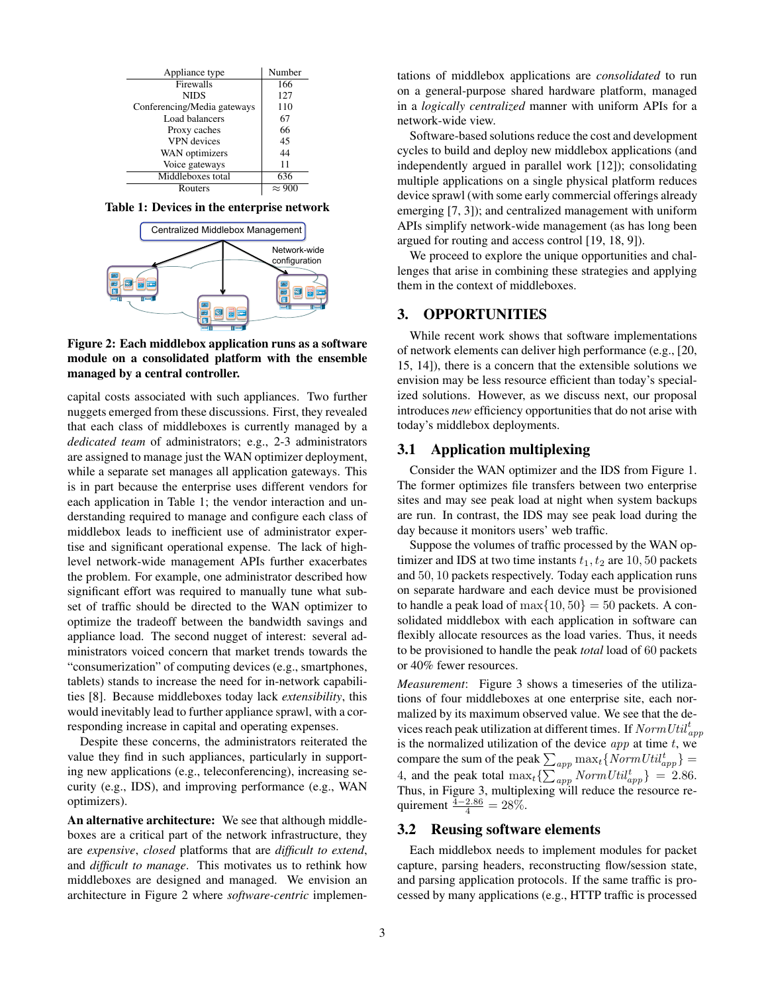| Appliance type              | Number      |
|-----------------------------|-------------|
| Firewalls                   | 166         |
| <b>NIDS</b>                 | 127         |
| Conferencing/Media gateways | 110         |
| Load balancers              | 67          |
| Proxy caches                | 66          |
| <b>VPN</b> devices          | 45          |
| WAN optimizers              | 44          |
| Voice gateways              | 11          |
| Middleboxes total           | 636         |
| Routers                     | $\approx 9$ |

Table 1: Devices in the enterprise network



Figure 2: Each middlebox application runs as a software module on a consolidated platform with the ensemble managed by a central controller.

capital costs associated with such appliances. Two further nuggets emerged from these discussions. First, they revealed that each class of middleboxes is currently managed by a *dedicated team* of administrators; e.g., 2-3 administrators are assigned to manage just the WAN optimizer deployment, while a separate set manages all application gateways. This is in part because the enterprise uses different vendors for each application in Table 1; the vendor interaction and understanding required to manage and configure each class of middlebox leads to inefficient use of administrator expertise and significant operational expense. The lack of highlevel network-wide management APIs further exacerbates the problem. For example, one administrator described how significant effort was required to manually tune what subset of traffic should be directed to the WAN optimizer to optimize the tradeoff between the bandwidth savings and appliance load. The second nugget of interest: several administrators voiced concern that market trends towards the "consumerization" of computing devices (e.g., smartphones, tablets) stands to increase the need for in-network capabilities [8]. Because middleboxes today lack *extensibility*, this would inevitably lead to further appliance sprawl, with a corresponding increase in capital and operating expenses.

Despite these concerns, the administrators reiterated the value they find in such appliances, particularly in supporting new applications (e.g., teleconferencing), increasing security (e.g., IDS), and improving performance (e.g., WAN optimizers).

An alternative architecture: We see that although middleboxes are a critical part of the network infrastructure, they are *expensive*, *closed* platforms that are *difficult to extend*, and *difficult to manage*. This motivates us to rethink how middleboxes are designed and managed. We envision an architecture in Figure 2 where *software-centric* implementations of middlebox applications are *consolidated* to run on a general-purpose shared hardware platform, managed in a *logically centralized* manner with uniform APIs for a network-wide view.

Software-based solutions reduce the cost and development cycles to build and deploy new middlebox applications (and independently argued in parallel work [12]); consolidating multiple applications on a single physical platform reduces device sprawl (with some early commercial offerings already emerging [7, 3]); and centralized management with uniform APIs simplify network-wide management (as has long been argued for routing and access control [19, 18, 9]).

We proceed to explore the unique opportunities and challenges that arise in combining these strategies and applying them in the context of middleboxes.

## 3. OPPORTUNITIES

While recent work shows that software implementations of network elements can deliver high performance (e.g., [20, 15, 14]), there is a concern that the extensible solutions we envision may be less resource efficient than today's specialized solutions. However, as we discuss next, our proposal introduces *new* efficiency opportunities that do not arise with today's middlebox deployments.

## 3.1 Application multiplexing

Consider the WAN optimizer and the IDS from Figure 1. The former optimizes file transfers between two enterprise sites and may see peak load at night when system backups are run. In contrast, the IDS may see peak load during the day because it monitors users' web traffic.

Suppose the volumes of traffic processed by the WAN optimizer and IDS at two time instants  $t_1, t_2$  are 10, 50 packets and 50, 10 packets respectively. Today each application runs on separate hardware and each device must be provisioned to handle a peak load of  $\max\{10, 50\} = 50$  packets. A consolidated middlebox with each application in software can flexibly allocate resources as the load varies. Thus, it needs to be provisioned to handle the peak *total* load of 60 packets or 40% fewer resources.

*Measurement*: Figure 3 shows a timeseries of the utilizations of four middleboxes at one enterprise site, each normalized by its maximum observed value. We see that the devices reach peak utilization at different times. If  $NormUtil_{app}^t$ is the normalized utilization of the device  $app$  at time  $t$ , we compare the sum of the peak  $\sum_{app} \max_t \{NormUtil_{app}^t\} =$ 4, and the peak total  $\max_t {\sum_{app} Normal{til_{app}}}$  = 2.86. Thus, in Figure 3, multiplexing will reduce the resource requirement  $\frac{4-2.86}{4} = 28\%.$ 

## 3.2 Reusing software elements

Each middlebox needs to implement modules for packet capture, parsing headers, reconstructing flow/session state, and parsing application protocols. If the same traffic is processed by many applications (e.g., HTTP traffic is processed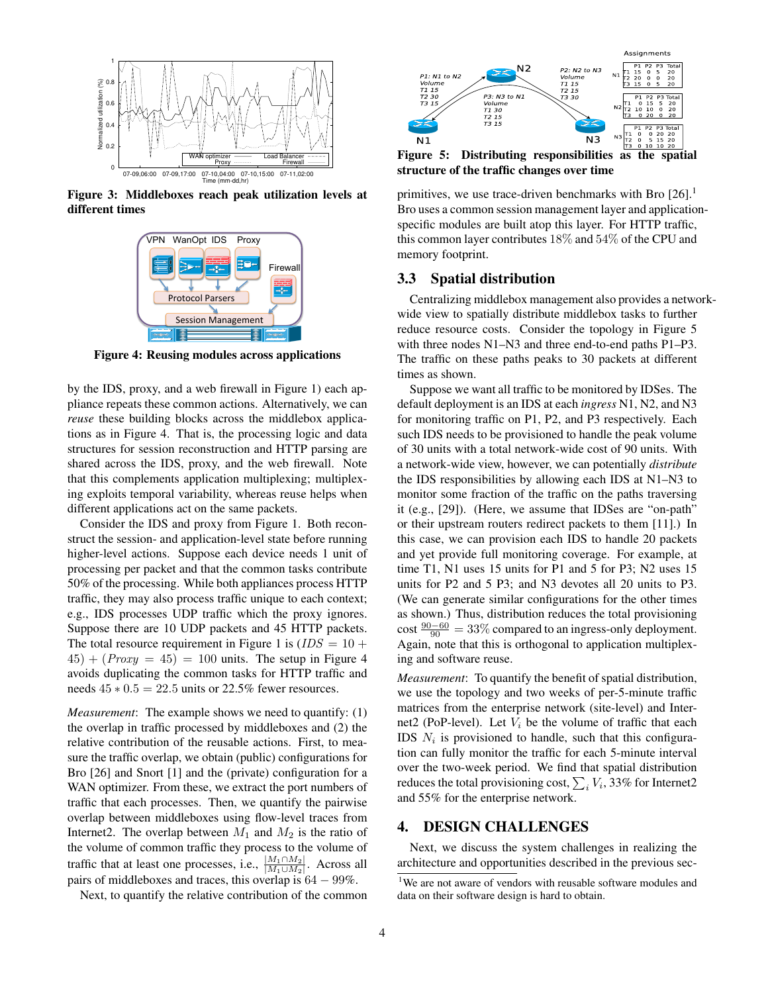

Figure 3: Middleboxes reach peak utilization levels at different times



Figure 4: Reusing modules across applications

by the IDS, proxy, and a web firewall in Figure 1) each appliance repeats these common actions. Alternatively, we can *reuse* these building blocks across the middlebox applications as in Figure 4. That is, the processing logic and data structures for session reconstruction and HTTP parsing are shared across the IDS, proxy, and the web firewall. Note that this complements application multiplexing; multiplexing exploits temporal variability, whereas reuse helps when different applications act on the same packets.

Consider the IDS and proxy from Figure 1. Both reconstruct the session- and application-level state before running higher-level actions. Suppose each device needs 1 unit of processing per packet and that the common tasks contribute 50% of the processing. While both appliances process HTTP traffic, they may also process traffic unique to each context; e.g., IDS processes UDP traffic which the proxy ignores. Suppose there are 10 UDP packets and 45 HTTP packets. The total resource requirement in Figure 1 is  $(IDS = 10 +$  $(45) + (Proxy = 45) = 100$  units. The setup in Figure 4 avoids duplicating the common tasks for HTTP traffic and needs  $45 * 0.5 = 22.5$  units or 22.5% fewer resources.

*Measurement*: The example shows we need to quantify: (1) the overlap in traffic processed by middleboxes and (2) the relative contribution of the reusable actions. First, to measure the traffic overlap, we obtain (public) configurations for Bro [26] and Snort [1] and the (private) configuration for a WAN optimizer. From these, we extract the port numbers of traffic that each processes. Then, we quantify the pairwise overlap between middleboxes using flow-level traces from Internet2. The overlap between  $M_1$  and  $M_2$  is the ratio of the volume of common traffic they process to the volume of traffic that at least one processes, i.e.,  $\frac{|M_1 \cap M_2|}{|M_1 \cup M_2|}$ . Across all pairs of middleboxes and traces, this overlap is 64 − 99%.

Next, to quantify the relative contribution of the common



structure of the traffic changes over time

primitives, we use trace-driven benchmarks with Bro  $[26]$ .<sup>1</sup> Bro uses a common session management layer and applicationspecific modules are built atop this layer. For HTTP traffic, this common layer contributes 18% and 54% of the CPU and memory footprint.

#### 3.3 Spatial distribution

Centralizing middlebox management also provides a networkwide view to spatially distribute middlebox tasks to further reduce resource costs. Consider the topology in Figure 5 with three nodes N1–N3 and three end-to-end paths P1–P3. The traffic on these paths peaks to 30 packets at different times as shown.

Suppose we want all traffic to be monitored by IDSes. The default deployment is an IDS at each *ingress* N1, N2, and N3 for monitoring traffic on P1, P2, and P3 respectively. Each such IDS needs to be provisioned to handle the peak volume of 30 units with a total network-wide cost of 90 units. With a network-wide view, however, we can potentially *distribute* the IDS responsibilities by allowing each IDS at N1–N3 to monitor some fraction of the traffic on the paths traversing it (e.g., [29]). (Here, we assume that IDSes are "on-path" or their upstream routers redirect packets to them [11].) In this case, we can provision each IDS to handle 20 packets and yet provide full monitoring coverage. For example, at time T1, N1 uses 15 units for P1 and 5 for P3; N2 uses 15 units for P2 and 5 P3; and N3 devotes all 20 units to P3. (We can generate similar configurations for the other times as shown.) Thus, distribution reduces the total provisioning cost  $\frac{90-60}{90} = 33\%$  compared to an ingress-only deployment. Again, note that this is orthogonal to application multiplexing and software reuse.

*Measurement*: To quantify the benefit of spatial distribution, we use the topology and two weeks of per-5-minute traffic matrices from the enterprise network (site-level) and Internet2 (PoP-level). Let  $V_i$  be the volume of traffic that each IDS  $N_i$  is provisioned to handle, such that this configuration can fully monitor the traffic for each 5-minute interval over the two-week period. We find that spatial distribution reduces the total provisioning cost,  $\sum_i V_i$ , 33% for Internet2 and 55% for the enterprise network.

## 4. DESIGN CHALLENGES

Next, we discuss the system challenges in realizing the architecture and opportunities described in the previous sec-

<sup>&</sup>lt;sup>1</sup>We are not aware of vendors with reusable software modules and data on their software design is hard to obtain.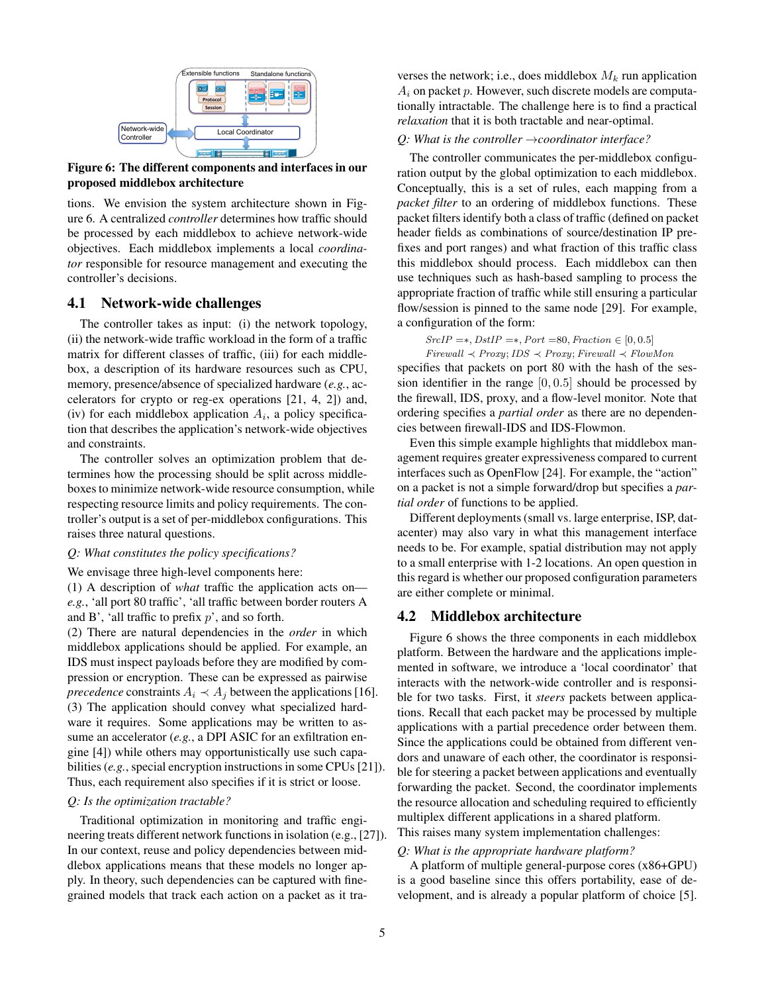

Figure 6: The different components and interfaces in our proposed middlebox architecture

tions. We envision the system architecture shown in Figure 6. A centralized *controller* determines how traffic should be processed by each middlebox to achieve network-wide objectives. Each middlebox implements a local *coordinator* responsible for resource management and executing the controller's decisions.

#### 4.1 Network-wide challenges

The controller takes as input: (i) the network topology, (ii) the network-wide traffic workload in the form of a traffic matrix for different classes of traffic, (iii) for each middlebox, a description of its hardware resources such as CPU, memory, presence/absence of specialized hardware (*e.g.*, accelerators for crypto or reg-ex operations [21, 4, 2]) and, (iv) for each middlebox application  $A_i$ , a policy specification that describes the application's network-wide objectives and constraints.

The controller solves an optimization problem that determines how the processing should be split across middleboxes to minimize network-wide resource consumption, while respecting resource limits and policy requirements. The controller's output is a set of per-middlebox configurations. This raises three natural questions.

#### *Q: What constitutes the policy specifications?*

We envisage three high-level components here:

(1) A description of *what* traffic the application acts on *e.g.*, 'all port 80 traffic', 'all traffic between border routers A and B', 'all traffic to prefix  $p$ ', and so forth.

(2) There are natural dependencies in the *order* in which middlebox applications should be applied. For example, an IDS must inspect payloads before they are modified by compression or encryption. These can be expressed as pairwise *precedence* constraints  $A_i \prec A_j$  between the applications [16]. (3) The application should convey what specialized hardware it requires. Some applications may be written to assume an accelerator (*e.g.*, a DPI ASIC for an exfiltration engine [4]) while others may opportunistically use such capabilities (*e.g.*, special encryption instructions in some CPUs [21]). Thus, each requirement also specifies if it is strict or loose.

#### *Q: Is the optimization tractable?*

Traditional optimization in monitoring and traffic engineering treats different network functions in isolation (e.g., [27]). In our context, reuse and policy dependencies between middlebox applications means that these models no longer apply. In theory, such dependencies can be captured with finegrained models that track each action on a packet as it traverses the network; i.e., does middlebox  $M_k$  run application  $A_i$  on packet p. However, such discrete models are computationally intractable. The challenge here is to find a practical *relaxation* that it is both tractable and near-optimal.

#### *Q: What is the controller* →*coordinator interface?*

The controller communicates the per-middlebox configuration output by the global optimization to each middlebox. Conceptually, this is a set of rules, each mapping from a *packet filter* to an ordering of middlebox functions. These packet filters identify both a class of traffic (defined on packet header fields as combinations of source/destination IP prefixes and port ranges) and what fraction of this traffic class this middlebox should process. Each middlebox can then use techniques such as hash-based sampling to process the appropriate fraction of traffic while still ensuring a particular flow/session is pinned to the same node [29]. For example, a configuration of the form:

 $SrcIP = *, DstIP = *, Port = 80, Fraction \in [0, 0.5]$  $Firewall \prec Proxy$ ;  $IDS \prec Proxy$ ;  $Firewall \prec FlowMon$ 

specifies that packets on port 80 with the hash of the session identifier in the range  $[0, 0.5]$  should be processed by the firewall, IDS, proxy, and a flow-level monitor. Note that ordering specifies a *partial order* as there are no dependencies between firewall-IDS and IDS-Flowmon.

Even this simple example highlights that middlebox management requires greater expressiveness compared to current interfaces such as OpenFlow [24]. For example, the "action" on a packet is not a simple forward/drop but specifies a *partial order* of functions to be applied.

Different deployments (small vs. large enterprise, ISP, datacenter) may also vary in what this management interface needs to be. For example, spatial distribution may not apply to a small enterprise with 1-2 locations. An open question in this regard is whether our proposed configuration parameters are either complete or minimal.

#### 4.2 Middlebox architecture

Figure 6 shows the three components in each middlebox platform. Between the hardware and the applications implemented in software, we introduce a 'local coordinator' that interacts with the network-wide controller and is responsible for two tasks. First, it *steers* packets between applications. Recall that each packet may be processed by multiple applications with a partial precedence order between them. Since the applications could be obtained from different vendors and unaware of each other, the coordinator is responsible for steering a packet between applications and eventually forwarding the packet. Second, the coordinator implements the resource allocation and scheduling required to efficiently multiplex different applications in a shared platform. This raises many system implementation challenges:

#### *Q: What is the appropriate hardware platform?*

A platform of multiple general-purpose cores (x86+GPU) is a good baseline since this offers portability, ease of development, and is already a popular platform of choice [5].